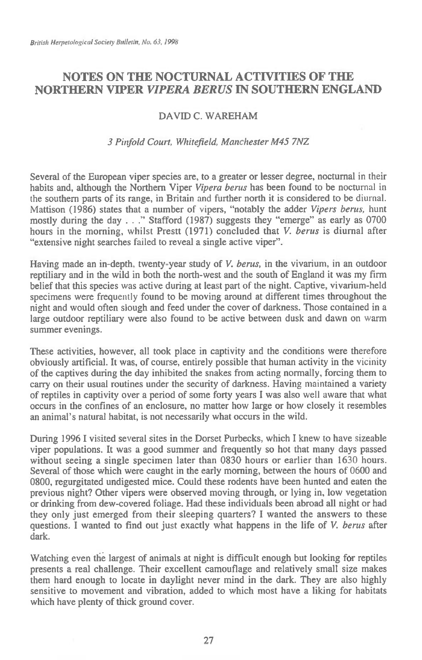# **NOTES ON THE NOCTURNAL ACTIVITIES OF THE NORTHERN VIPER** *VIPERA BERUS* **IN SOUTHERN ENGLAND**

## DAVID C. WAREHAM

#### *3 Pinfold Court, Whitefield, Manchester M45 7NZ*

Several of the European viper species are, to a greater or lesser degree, nocturnal in their habits and, although the Northern Viper *Vipera berus* has been found to be nocturnal in the southern parts of its range, in Britain and further north it is considered to be diurnal. Mattison (1986) states that a number of vipers, "notably the adder *Vipers berus,* hunt mostly during the day . . ." Stafford (1987) suggests they "emerge" as early as 0700 hours in the morning, whilst Prestt (1971) concluded that V. *berus* is diurnal after "extensive night searches failed to reveal a single active viper".

Having made an in-depth, twenty-year study of V. *berus,* in the vivarium, in an outdoor reptiliary and in the wild in both the north-west and the south of England it was my firm belief that this species was active during at least part of the night. Captive, vivarium-held specimens were frequently found to be moving around at different times throughout the night and would often slough and feed under the cover of darkness. Those contained in a large outdoor reptiliary were also found to be active between dusk and dawn on warm summer evenings.

These activities, however, all took place in captivity and the conditions were therefore obviously artificial. It was, of course, entirely possible that human activity in the vicinity of the captives during the day inhibited the snakes from acting normally, forcing them to carry on their usual routines under the security of darkness. Having maintained a variety of reptiles in captivity over a period of some forty years I was also well aware that what occurs in the confines of an enclosure, no matter how large or how closely it resembles an animal's natural habitat, is not necessarily what occurs in the wild.

During 1996 I visited several sites in the Dorset Purbecks, which I knew to have sizeable viper populations. It was a good summer and frequently so hot that many days passed without seeing a single specimen later than 0830 hours or earlier than 1630 hours. Several of those which were caught in the early morning, between the hours of 0600 and 0800, regurgitated undigested mice. Could these rodents have been hunted and eaten the previous night? Other vipers were observed moving through, or lying in, low vegetation or drinking from dew-covered foliage. Had these individuals been abroad all night or had they only just emerged from their sleeping quarters? I wanted the answers to these questions. I wanted to find out just exactly what happens in the life of V. *berus* after dark.

Watching even the largest of animals at night is difficult enough but looking for reptiles presents a real challenge. Their excellent camouflage and relatively small size makes them hard enough to locate in daylight never mind in the dark. They are also highly sensitive to movement and vibration, added to which most have a liking for habitats which have plenty of thick ground cover.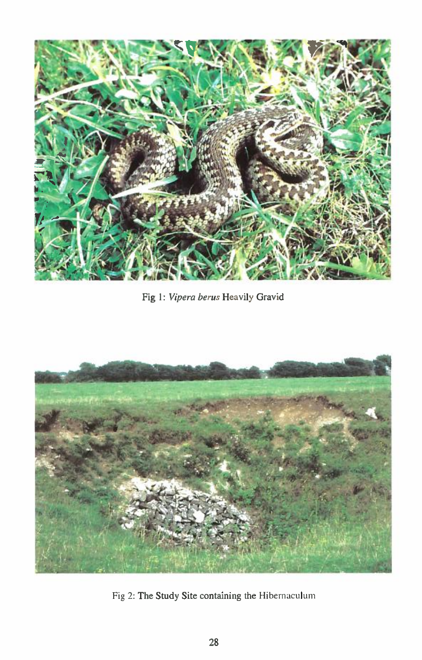

Fig 1: *Vipera berus* Heavily Gravid



Fig 2: The Study Site containing the Hibemaculum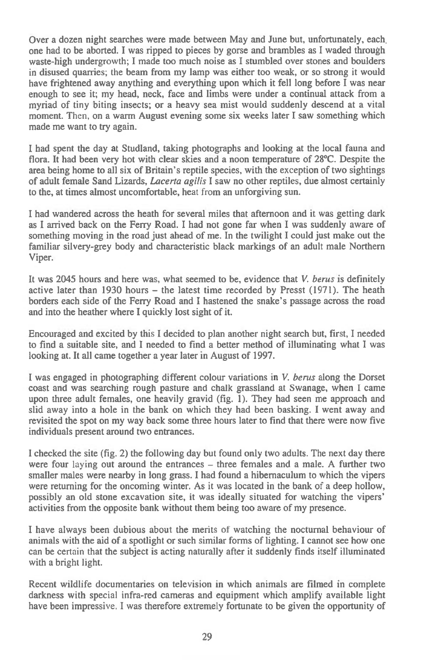Over a dozen night searches were made between May and June but, unfortunately, each one had to be aborted. I was ripped to pieces by gorse and brambles as I waded through waste-high undergrowth; I made too much noise as I stumbled over stones and boulders in disused quarries; the beam from my lamp was either too weak, or so strong it would have frightened away anything and everything upon which it fell long before I was near enough to see it; my head, neck, face and limbs were under a continual attack from a myriad of tiny biting insects; or a heavy sea mist would suddenly descend at a vital moment. Then, on a warm August evening some six weeks later I saw something which made me want to try again.

I had spent the day at Studland, taking photographs and looking at the local fauna and flora. It had been very hot with clear skies and a noon temperature of 28°C. Despite the area being home to all six of Britain's reptile species, with the exception of two sightings of adult female Sand Lizards, *Lacerta agilis* I saw no other reptiles, due almost certainly to the, at times almost uncomfortable, heat from an unforgiving sun.

I had wandered across the heath for several miles that afternoon and it was getting dark as I arrived back on the Ferry Road. I had not gone far when I was suddenly aware of something moving in the road just ahead of me. In the twilight I could just make out the familiar silvery-grey body and characteristic black markings of an adult male Northern Viper.

It was 2045 hours and here was, what seemed to be, evidence that *V. berus* is definitely active later than 1930 hours — the latest time recorded by Presst (1971). The heath borders each side of the Ferry Road and I hastened the snake's passage across the road and into the heather where I quickly lost sight of it.

Encouraged and excited by this I decided to plan another night search but, first, I needed to find a suitable site, and I needed to find a better method of illuminating what I was looking at. It all came together a year later in August of 1997.

I was engaged in photographing different colour variations in V. *berus* along the Dorset coast and was searching rough pasture and chalk grassland at Swanage, when I came upon three adult females, one heavily gravid (fig. 1). They had seen me approach and slid away into a hole in the bank on which they had been basking. I went away and revisited the spot on my way back some three hours later to find that there were now five individuals present around two entrances.

I checked the site (fig. 2) the following day but found only two adults. The next day there were four laying out around the entrances — three females and a male. A further two smaller males were nearby in long grass. I had found a hibernaculum to which the vipers were returning for the oncoming winter. As it was located in the bank of a deep hollow, possibly an old stone excavation site, it was ideally situated for watching the vipers' activities from the opposite bank without them being too aware of my presence.

I have always been dubious about the merits of watching the nocturnal behaviour of animals with the aid of a spotlight or such similar forms of lighting. I cannot see how one can be certain that the subject is acting naturally after it suddenly finds itself illuminated with a bright light.

Recent wildlife documentaries on television in which animals are filmed in complete darkness with special infra-red cameras and equipment which amplify available light have been impressive. I was therefore extremely fortunate to be given the opportunity of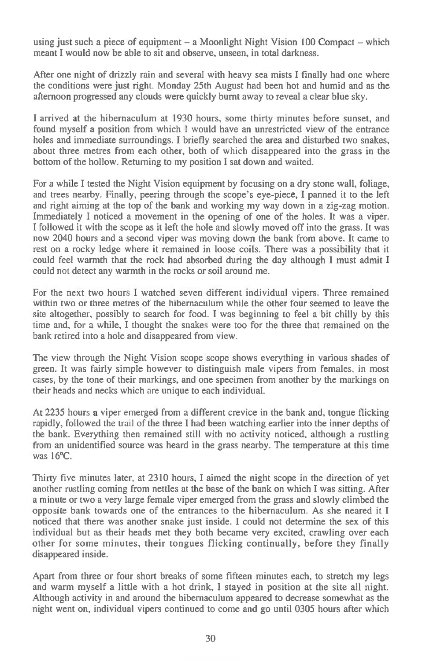using just such a piece of equipment — a Moonlight Night Vision 100 Compact — which meant I would now be able to sit and observe, unseen, in total darkness.

After one night of drizzly rain and several with heavy sea mists I finally had one where the conditions were just right. Monday 25th August had been hot and humid and as the afternoon progressed any clouds were quickly burnt away to reveal a clear blue sky.

I arrived at the hibernaculum at 1930 hours, some thirty minutes before sunset, and found myself a position from which I would have an unrestricted view of the entrance holes and immediate surroundings. I briefly searched the area and disturbed two snakes, about three metres from each other, both of which disappeared into the grass in the bottom of the hollow. Returning to my position I sat down and waited.

For a while I tested the Night Vision equipment by focusing on a dry stone wall, foliage, and trees nearby. Finally, peering through the scope's eye-piece, I panned it to the left and right aiming at the top of the bank and working my way down in a zig-zag motion. Immediately I noticed a movement in the opening of one of the holes. It was a viper. I followed it with the scope as it left the hole and slowly moved off into the grass. It was now 2040 hours and a second viper was moving down the bank from above. It came to rest on a rocky ledge where it remained in loose coils. There was a possibility that it could feel warmth that the rock had absorbed during the day although I must admit I could not detect any warmth in the rocks or soil around me.

For the next two hours I watched seven different individual vipers. Three remained within two or three metres of the hibernaculum while the other four seemed to leave the site altogether, possibly to search for food. I was beginning to feel a bit chilly by this time and, for a while, I thought the snakes were too for the three that remained on the bank retired into a hole and disappeared from view.

The view through the Night Vision scope scope shows everything in various shades of green. It was fairly simple however to distinguish male vipers from females, in most cases, by the tone of their markings, and one specimen from another by the markings on their heads and necks which are unique to each individual.

At 2235 hours a viper emerged from a different crevice in the bank and, tongue flicking rapidly, followed the trail of the three I had been watching earlier into the inner depths of the bank. Everything then remained still with no activity noticed, although a rustling from an unidentified source was heard in the grass nearby. The temperature at this time was 16°C.

Thirty five minutes later, at 2310 hours, I aimed the night scope in the direction of yet another rustling coming from nettles at the base of the bank on which I was sitting. After a minute or two a very large female viper emerged from the grass and slowly climbed the opposite bank towards one of the entrances to the hibernaculum. As she neared it I noticed that there was another snake just inside. I could not determine the sex of this individual but as their heads met they both became very excited, crawling over each other for some minutes, their tongues flicking continually, before they finally disappeared inside.

Apart from three or four short breaks of some fifteen minutes each, to stretch my legs and warm myself a little with a hot drink, I stayed in position at the site all night. Although activity in and around the hibernaculum appeared to decrease somewhat as the night went on, individual vipers continued to come and go until 0305 hours after which